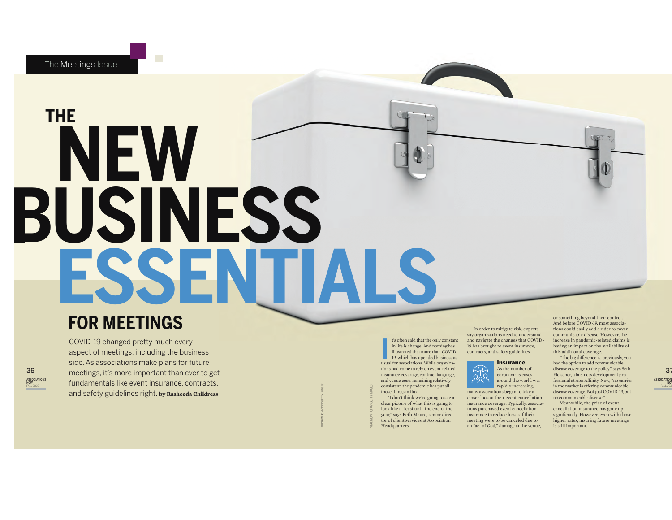# **ESSEN THE NEW BUSINESS**

# **FOR MEETINGS**

36 ASSOCIATIONS NOW FALL 2020 COVID-19 changed pretty much every aspect of meetings, including the business side. As associations make plans for future meetings, it's more important than ever to get fundamentals like event insurance, contracts, and safety guidelines right. **by Rasheeda Childress**

It's often said that the only constar in life is change. And nothing has illustrated that more than COVIII 19, which has upended business a usual for associations. While organizain life is change. And nothing has illustrated that more than COVID-19, which has upended business as tions had come to rely on event-related insurance coverage, contract language, and venue costs remaining relatively consistent, the pandemic has put all those things in flux. "I don't think we're going to see a

VLADISLAV POPOV/GETTY IMAGES

t's often said that the only constant

ANDREW JOHNSON/GETTY IMAGES

clear picture of what this is going to look like at least until the end of the year," says Beth Mauro, senior director of client services at Association Headquarters.

In order to mitigate risk, experts say organizations need to understand and navigate the changes that COVID-19 has brought to event insurance, contracts, and safety guidelines.



rapidly increasing, closer look at their event cancellation insurance coverage. Typically, associations purchased event cancellation insurance to reduce losses if their meeting were to be canceled due to an "act of God," damage at the venue,

or something beyond their control. And before COVID-19, most associations could easily add a rider to cover communicable disease. However, the increase in pandemic-related claims is having an impact on the availability of this additional coverage.

"The big difference is, previously, you had the option to add communicable disease coverage to the policy," says Seth Fleischer, a business development professional at Aon Affinity. Now, "no carrier in the market is offering communicable disease coverage. Not just COVID-19, but no communicable disease."

Meanwhile, the price of event cancellation insurance has gone up significantly. However, even with those higher rates, insuring future meetings is still important.

37 ASSOCIATION<br>NOW<br>FALL 202